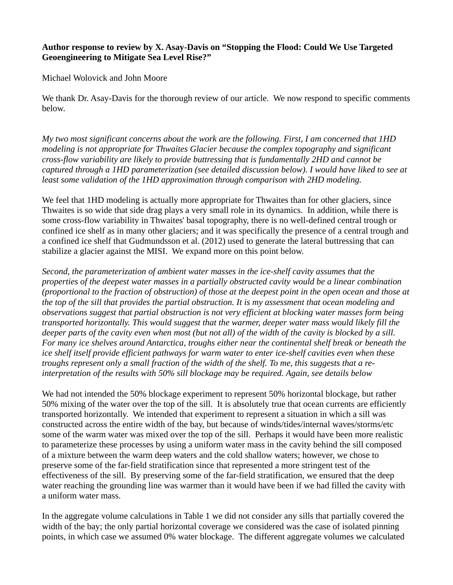## **Author response to review by X. Asay-Davis on "Stopping the Flood: Could We Use Targeted Geoengineering to Mitigate Sea Level Rise?"**

Michael Wolovick and John Moore

We thank Dr. Asay-Davis for the thorough review of our article. We now respond to specific comments below.

*My two most significant concerns about the work are the following. First, I am concerned that 1HD modeling is not appropriate for Thwaites Glacier because the complex topography and significant cross-flow variability are likely to provide buttressing that is fundamentally 2HD and cannot be captured through a 1HD parameterization (see detailed discussion below). I would have liked to see at least some validation of the 1HD approximation through comparison with 2HD modeling.*

We feel that 1HD modeling is actually more appropriate for Thwaites than for other glaciers, since Thwaites is so wide that side drag plays a very small role in its dynamics. In addition, while there is some cross-flow variability in Thwaites' basal topography, there is no well-defined central trough or confined ice shelf as in many other glaciers; and it was specifically the presence of a central trough and a confined ice shelf that Gudmundsson et al. (2012) used to generate the lateral buttressing that can stabilize a glacier against the MISI. We expand more on this point below.

*Second, the parameterization of ambient water masses in the ice-shelf cavity assumes that the properties of the deepest water masses in a partially obstructed cavity would be a linear combination (proportional to the fraction of obstruction) of those at the deepest point in the open ocean and those at the top of the sill that provides the partial obstruction. It is my assessment that ocean modeling and observations suggest that partial obstruction is not very efficient at blocking water masses form being transported horizontally. This would suggest that the warmer, deeper water mass would likely fill the deeper parts of the cavity even when most (but not all) of the width of the cavity is blocked by a sill. For many ice shelves around Antarctica, troughs either near the continental shelf break or beneath the ice shelf itself provide efficient pathways for warm water to enter ice-shelf cavities even when these troughs represent only a small fraction of the width of the shelf. To me, this suggests that a reinterpretation of the results with 50% sill blockage may be required. Again, see details below*

We had not intended the 50% blockage experiment to represent 50% horizontal blockage, but rather 50% mixing of the water over the top of the sill. It is absolutely true that ocean currents are efficiently transported horizontally. We intended that experiment to represent a situation in which a sill was constructed across the entire width of the bay, but because of winds/tides/internal waves/storms/etc some of the warm water was mixed over the top of the sill. Perhaps it would have been more realistic to parameterize these processes by using a uniform water mass in the cavity behind the sill composed of a mixture between the warm deep waters and the cold shallow waters; however, we chose to preserve some of the far-field stratification since that represented a more stringent test of the effectiveness of the sill. By preserving some of the far-field stratification, we ensured that the deep water reaching the grounding line was warmer than it would have been if we had filled the cavity with a uniform water mass.

In the aggregate volume calculations in Table 1 we did not consider any sills that partially covered the width of the bay; the only partial horizontal coverage we considered was the case of isolated pinning points, in which case we assumed 0% water blockage. The different aggregate volumes we calculated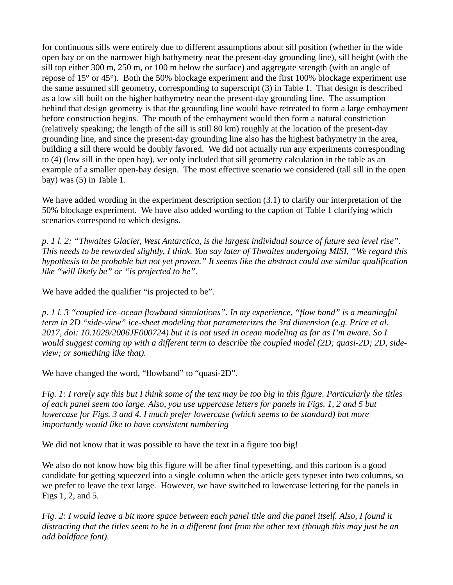for continuous sills were entirely due to different assumptions about sill position (whether in the wide open bay or on the narrower high bathymetry near the present-day grounding line), sill height (with the sill top either 300 m, 250 m, or 100 m below the surface) and aggregate strength (with an angle of repose of 15° or 45°). Both the 50% blockage experiment and the first 100% blockage experiment use the same assumed sill geometry, corresponding to superscript (3) in Table 1. That design is described as a low sill built on the higher bathymetry near the present-day grounding line. The assumption behind that design geometry is that the grounding line would have retreated to form a large embayment before construction begins. The mouth of the embayment would then form a natural constriction (relatively speaking; the length of the sill is still 80 km) roughly at the location of the present-day grounding line, and since the present-day grounding line also has the highest bathymetry in the area, building a sill there would be doubly favored. We did not actually run any experiments corresponding to (4) (low sill in the open bay), we only included that sill geometry calculation in the table as an example of a smaller open-bay design. The most effective scenario we considered (tall sill in the open bay) was (5) in Table 1.

We have added wording in the experiment description section (3.1) to clarify our interpretation of the 50% blockage experiment. We have also added wording to the caption of Table 1 clarifying which scenarios correspond to which designs.

*p. 1 l. 2: "Thwaites Glacier, West Antarctica, is the largest individual source of future sea level rise". This needs to be reworded slightly, I think. You say later of Thwaites undergoing MISI, "We regard this hypothesis to be probable but not yet proven." It seems like the abstract could use similar qualification like "will likely be" or "is projected to be".*

We have added the qualifier "is projected to be".

*p. 1 l. 3 "coupled ice–ocean flowband simulations". In my experience, "flow band" is a meaningful term in 2D "side-view" ice-sheet modeling that parameterizes the 3rd dimension (e.g. Price et al. 2017, doi: 10.1029/2006JF000724) but it is not used in ocean modeling as far as I'm aware. So I would suggest coming up with a different term to describe the coupled model (2D; quasi-2D; 2D, sideview; or something like that).*

We have changed the word, "flowband" to "quasi-2D".

*Fig. 1: I rarely say this but I think some of the text may be too big in this figure. Particularly the titles of each panel seem too large. Also, you use uppercase letters for panels in Figs. 1, 2 and 5 but lowercase for Figs. 3 and 4. I much prefer lowercase (which seems to be standard) but more importantly would like to have consistent numbering*

We did not know that it was possible to have the text in a figure too big!

We also do not know how big this figure will be after final typesetting, and this cartoon is a good candidate for getting squeezed into a single column when the article gets typeset into two columns, so we prefer to leave the text large. However, we have switched to lowercase lettering for the panels in Figs 1, 2, and 5.

*Fig. 2: I would leave a bit more space between each panel title and the panel itself. Also, I found it distracting that the titles seem to be in a different font from the other text (though this may just be an odd boldface font).*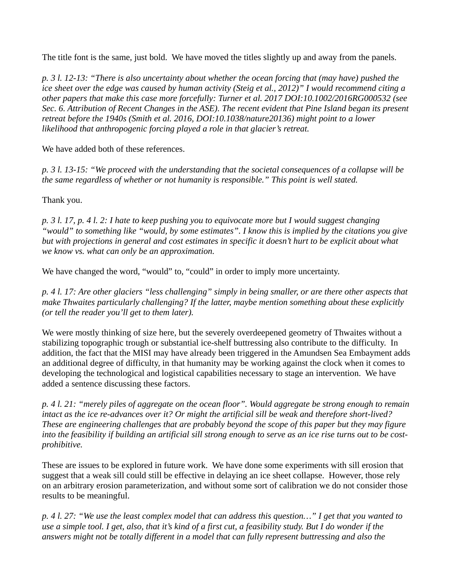The title font is the same, just bold. We have moved the titles slightly up and away from the panels.

*p. 3 l. 12-13: "There is also uncertainty about whether the ocean forcing that (may have) pushed the ice sheet over the edge was caused by human activity (Steig et al., 2012)*" I would recommend citing a *other papers that make this case more forcefully: Turner et al. 2017 DOI:10.1002/2016RG000532 (see Sec. 6. Attribution of Recent Changes in the ASE). The recent evident that Pine Island began its present retreat before the 1940s (Smith et al. 2016, DOI:10.1038/nature20136) might point to a lower likelihood that anthropogenic forcing played a role in that glacier's retreat.*

We have added both of these references.

*p. 3 l. 13-15: "We proceed with the understanding that the societal consequences of a collapse will be the same regardless of whether or not humanity is responsible." This point is well stated.*

Thank you.

*p. 3 l. 17, p. 4 l. 2: I hate to keep pushing you to equivocate more but I would suggest changing "would" to something like "would, by some estimates". I know this is implied by the citations you give but with projections in general and cost estimates in specific it doesn't hurt to be explicit about what we know vs. what can only be an approximation.*

We have changed the word, "would" to, "could" in order to imply more uncertainty.

*p. 4 l. 17: Are other glaciers "less challenging" simply in being smaller, or are there other aspects that make Thwaites particularly challenging? If the latter, maybe mention something about these explicitly (or tell the reader you'll get to them later).*

We were mostly thinking of size here, but the severely overdeepened geometry of Thwaites without a stabilizing topographic trough or substantial ice-shelf buttressing also contribute to the difficulty. In addition, the fact that the MISI may have already been triggered in the Amundsen Sea Embayment adds an additional degree of difficulty, in that humanity may be working against the clock when it comes to developing the technological and logistical capabilities necessary to stage an intervention. We have added a sentence discussing these factors.

*p. 4 l. 21: "merely piles of aggregate on the ocean floor". Would aggregate be strong enough to remain intact as the ice re-advances over it? Or might the artificial sill be weak and therefore short-lived? These are engineering challenges that are probably beyond the scope of this paper but they may figure into the feasibility if building an artificial sill strong enough to serve as an ice rise turns out to be costprohibitive.*

These are issues to be explored in future work. We have done some experiments with sill erosion that suggest that a weak sill could still be effective in delaying an ice sheet collapse. However, those rely on an arbitrary erosion parameterization, and without some sort of calibration we do not consider those results to be meaningful.

*p. 4 l. 27: "We use the least complex model that can address this question…" I get that you wanted to use a simple tool. I get, also, that it's kind of a first cut, a feasibility study. But I do wonder if the answers might not be totally different in a model that can fully represent buttressing and also the*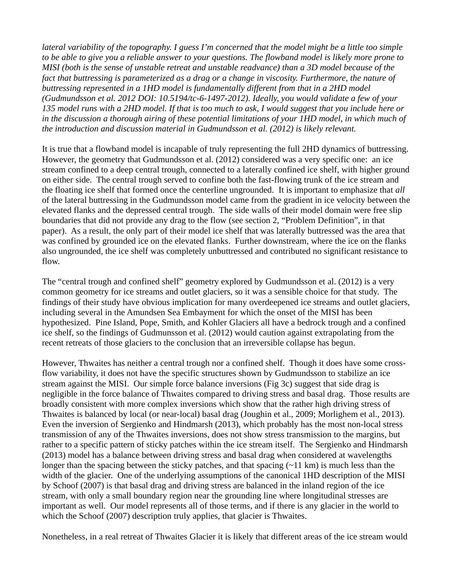*lateral variability of the topography. I guess I'm concerned that the model might be a little too simple to be able to give you a reliable answer to your questions. The flowband model is likely more prone to MISI (both is the sense of unstable retreat and unstable readvance) than a 3D model because of the*  fact that buttressing is parameterized as a drag or a change in viscosity. Furthermore, the nature of *buttressing represented in a 1HD model is fundamentally different from that in a 2HD model (Gudmundsson et al. 2012 DOI: 10.5194/tc-6-1497-2012). Ideally, you would validate a few of your 135 model runs with a 2HD model. If that is too much to ask, I would suggest that you include here or*  in the discussion a thorough airing of these potential limitations of your 1HD model, in which much of *the introduction and discussion material in Gudmundsson et al. (2012) is likely relevant.*

It is true that a flowband model is incapable of truly representing the full 2HD dynamics of buttressing. However, the geometry that Gudmundsson et al. (2012) considered was a very specific one: an ice stream confined to a deep central trough, connected to a laterally confined ice shelf, with higher ground on either side. The central trough served to confine both the fast-flowing trunk of the ice stream and the floating ice shelf that formed once the centerline ungrounded. It is important to emphasize that *all* of the lateral buttressing in the Gudmundsson model came from the gradient in ice velocity between the elevated flanks and the depressed central trough. The side walls of their model domain were free slip boundaries that did not provide any drag to the flow (see section 2, "Problem Definition", in that paper). As a result, the only part of their model ice shelf that was laterally buttressed was the area that was confined by grounded ice on the elevated flanks. Further downstream, where the ice on the flanks also ungrounded, the ice shelf was completely unbuttressed and contributed no significant resistance to flow.

The "central trough and confined shelf" geometry explored by Gudmundsson et al. (2012) is a very common geometry for ice streams and outlet glaciers, so it was a sensible choice for that study. The findings of their study have obvious implication for many overdeepened ice streams and outlet glaciers, including several in the Amundsen Sea Embayment for which the onset of the MISI has been hypothesized. Pine Island, Pope, Smith, and Kohler Glaciers all have a bedrock trough and a confined ice shelf, so the findings of Gudmunsson et al. (2012) would caution against extrapolating from the recent retreats of those glaciers to the conclusion that an irreversible collapse has begun.

However, Thwaites has neither a central trough nor a confined shelf. Though it does have some crossflow variability, it does not have the specific structures shown by Gudmundsson to stabilize an ice stream against the MISI. Our simple force balance inversions (Fig 3c) suggest that side drag is negligible in the force balance of Thwaites compared to driving stress and basal drag. Those results are broadly consistent with more complex inversions which show that the rather high driving stress of Thwaites is balanced by local (or near-local) basal drag (Joughin et al., 2009; Morlighem et al., 2013). Even the inversion of Sergienko and Hindmarsh (2013), which probably has the most non-local stress transmission of any of the Thwaites inversions, does not show stress transmission to the margins, but rather to a specific pattern of sticky patches within the ice stream itself. The Sergienko and Hindmarsh (2013) model has a balance between driving stress and basal drag when considered at wavelengths longer than the spacing between the sticky patches, and that spacing  $(\sim 11 \text{ km})$  is much less than the width of the glacier. One of the underlying assumptions of the canonical 1HD description of the MISI by Schoof (2007) is that basal drag and driving stress are balanced in the inland region of the ice stream, with only a small boundary region near the grounding line where longitudinal stresses are important as well. Our model represents all of those terms, and if there is any glacier in the world to which the Schoof (2007) description truly applies, that glacier is Thwaites.

Nonetheless, in a real retreat of Thwaites Glacier it is likely that different areas of the ice stream would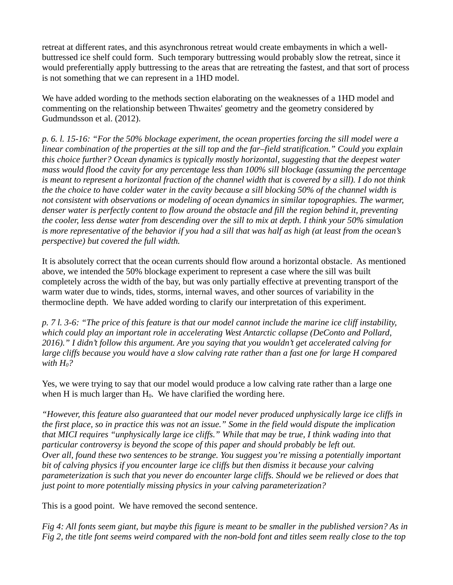retreat at different rates, and this asynchronous retreat would create embayments in which a wellbuttressed ice shelf could form. Such temporary buttressing would probably slow the retreat, since it would preferentially apply buttressing to the areas that are retreating the fastest, and that sort of process is not something that we can represent in a 1HD model.

We have added wording to the methods section elaborating on the weaknesses of a 1HD model and commenting on the relationship between Thwaites' geometry and the geometry considered by Gudmundsson et al. (2012).

*p. 6. l. 15-16: "For the 50% blockage experiment, the ocean properties forcing the sill model were a linear combination of the properties at the sill top and the far–field stratification." Could you explain this choice further? Ocean dynamics is typically mostly horizontal, suggesting that the deepest water mass would flood the cavity for any percentage less than 100% sill blockage (assuming the percentage is meant to represent a horizontal fraction of the channel width that is covered by a sill). I do not think the the choice to have colder water in the cavity because a sill blocking 50% of the channel width is not consistent with observations or modeling of ocean dynamics in similar topographies. The warmer,*  denser water is perfectly content to flow around the obstacle and fill the region behind it, preventing *the cooler, less dense water from descending over the sill to mix at depth. I think your 50% simulation is more representative of the behavior if you had a sill that was half as high (at least from the ocean's perspective) but covered the full width.*

It is absolutely correct that the ocean currents should flow around a horizontal obstacle. As mentioned above, we intended the 50% blockage experiment to represent a case where the sill was built completely across the width of the bay, but was only partially effective at preventing transport of the warm water due to winds, tides, storms, internal waves, and other sources of variability in the thermocline depth. We have added wording to clarify our interpretation of this experiment.

*p. 7 l. 3-6: "The price of this feature is that our model cannot include the marine ice cliff instability, which could play an important role in accelerating West Antarctic collapse (DeConto and Pollard, 2016)." I didn't follow this argument. Are you saying that you wouldn't get accelerated calving for large cliffs because you would have a slow calving rate rather than a fast one for large H compared with*  $H_0$ ?

Yes, we were trying to say that our model would produce a low calving rate rather than a large one when H is much larger than  $H_0$ . We have clarified the wording here.

*"However, this feature also guaranteed that our model never produced unphysically large ice cliffs in the first place, so in practice this was not an issue." Some in the field would dispute the implication that MICI requires "unphysically large ice cliffs." While that may be true, I think wading into that particular controversy is beyond the scope of this paper and should probably be left out. Over all, found these two sentences to be strange. You suggest you're missing a potentially important bit of calving physics if you encounter large ice cliffs but then dismiss it because your calving parameterization is such that you never do encounter large cliffs. Should we be relieved or does that just point to more potentially missing physics in your calving parameterization?*

This is a good point. We have removed the second sentence.

*Fig 4: All fonts seem giant, but maybe this figure is meant to be smaller in the published version? As in Fig 2, the title font seems weird compared with the non-bold font and titles seem really close to the top*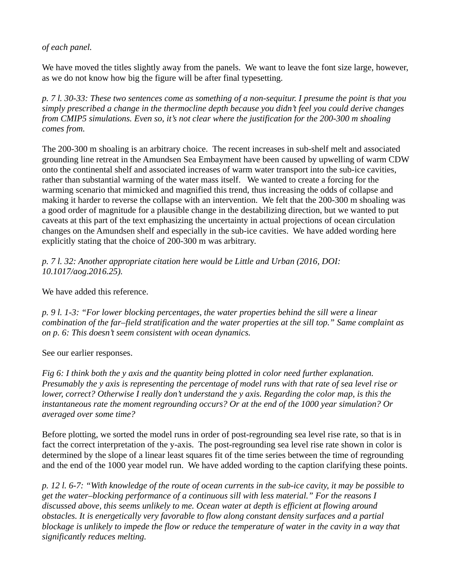*of each panel.*

We have moved the titles slightly away from the panels. We want to leave the font size large, however, as we do not know how big the figure will be after final typesetting.

*p. 7 l. 30-33: These two sentences come as something of a non-sequitur. I presume the point is that you simply prescribed a change in the thermocline depth because you didn't feel you could derive changes from CMIP5 simulations. Even so, it's not clear where the justification for the 200-300 m shoaling comes from.*

The 200-300 m shoaling is an arbitrary choice. The recent increases in sub-shelf melt and associated grounding line retreat in the Amundsen Sea Embayment have been caused by upwelling of warm CDW onto the continental shelf and associated increases of warm water transport into the sub-ice cavities, rather than substantial warming of the water mass itself. We wanted to create a forcing for the warming scenario that mimicked and magnified this trend, thus increasing the odds of collapse and making it harder to reverse the collapse with an intervention. We felt that the 200-300 m shoaling was a good order of magnitude for a plausible change in the destabilizing direction, but we wanted to put caveats at this part of the text emphasizing the uncertainty in actual projections of ocean circulation changes on the Amundsen shelf and especially in the sub-ice cavities. We have added wording here explicitly stating that the choice of 200-300 m was arbitrary.

*p. 7 l. 32: Another appropriate citation here would be Little and Urban (2016, DOI: 10.1017/aog.2016.25).*

We have added this reference.

*p. 9 l. 1-3: "For lower blocking percentages, the water properties behind the sill were a linear combination of the far–field stratification and the water properties at the sill top." Same complaint as on p. 6: This doesn't seem consistent with ocean dynamics.*

See our earlier responses.

*Fig 6: I think both the y axis and the quantity being plotted in color need further explanation. Presumably the y axis is representing the percentage of model runs with that rate of sea level rise or lower, correct? Otherwise I really don't understand the y axis. Regarding the color map, is this the instantaneous rate the moment regrounding occurs? Or at the end of the 1000 year simulation? Or averaged over some time?*

Before plotting, we sorted the model runs in order of post-regrounding sea level rise rate, so that is in fact the correct interpretation of the y-axis. The post-regrounding sea level rise rate shown in color is determined by the slope of a linear least squares fit of the time series between the time of regrounding and the end of the 1000 year model run. We have added wording to the caption clarifying these points.

*p. 12 l. 6-7: "With knowledge of the route of ocean currents in the sub-ice cavity, it may be possible to get the water–blocking performance of a continuous sill with less material." For the reasons I discussed above, this seems unlikely to me. Ocean water at depth is efficient at flowing around obstacles. It is energetically very favorable to flow along constant density surfaces and a partial blockage is unlikely to impede the flow or reduce the temperature of water in the cavity in a way that significantly reduces melting.*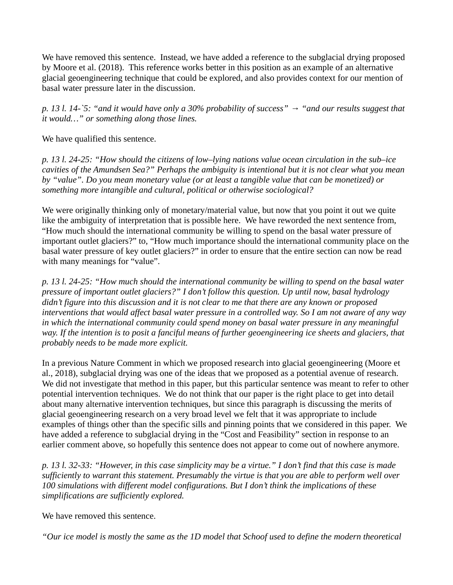We have removed this sentence. Instead, we have added a reference to the subglacial drying proposed by Moore et al. (2018). This reference works better in this position as an example of an alternative glacial geoengineering technique that could be explored, and also provides context for our mention of basal water pressure later in the discussion.

*p. 13 l. 14-`5: "and it would have only a 30% probability of success" → "and our results suggest that it would…" or something along those lines.*

We have qualified this sentence.

*p. 13 l. 24-25: "How should the citizens of low–lying nations value ocean circulation in the sub–ice cavities of the Amundsen Sea?" Perhaps the ambiguity is intentional but it is not clear what you mean by "value". Do you mean monetary value (or at least a tangible value that can be monetized) or something more intangible and cultural, political or otherwise sociological?*

We were originally thinking only of monetary/material value, but now that you point it out we quite like the ambiguity of interpretation that is possible here. We have reworded the next sentence from, "How much should the international community be willing to spend on the basal water pressure of important outlet glaciers?" to, "How much importance should the international community place on the basal water pressure of key outlet glaciers?" in order to ensure that the entire section can now be read with many meanings for "value".

*p. 13 l. 24-25: "How much should the international community be willing to spend on the basal water pressure of important outlet glaciers?" I don't follow this question. Up until now, basal hydrology didn't figure into this discussion and it is not clear to me that there are any known or proposed interventions that would affect basal water pressure in a controlled way. So I am not aware of any way in which the international community could spend money on basal water pressure in any meaningful*  way. If the intention is to posit a fanciful means of further geoengineering ice sheets and glaciers, that *probably needs to be made more explicit.*

In a previous Nature Comment in which we proposed research into glacial geoengineering (Moore et al., 2018), subglacial drying was one of the ideas that we proposed as a potential avenue of research. We did not investigate that method in this paper, but this particular sentence was meant to refer to other potential intervention techniques. We do not think that our paper is the right place to get into detail about many alternative intervention techniques, but since this paragraph is discussing the merits of glacial geoengineering research on a very broad level we felt that it was appropriate to include examples of things other than the specific sills and pinning points that we considered in this paper. We have added a reference to subglacial drying in the "Cost and Feasibility" section in response to an earlier comment above, so hopefully this sentence does not appear to come out of nowhere anymore.

*p. 13 l. 32-33: "However, in this case simplicity may be a virtue." I don't find that this case is made sufficiently to warrant this statement. Presumably the virtue is that you are able to perform well over 100 simulations with different model configurations. But I don't think the implications of these simplifications are sufficiently explored.*

We have removed this sentence.

*"Our ice model is mostly the same as the 1D model that Schoof used to define the modern theoretical*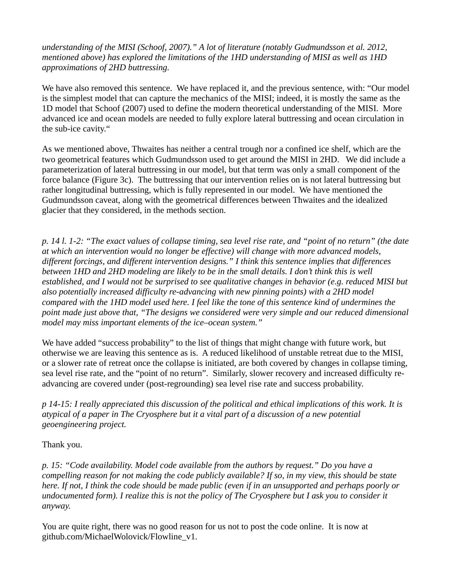*understanding of the MISI (Schoof, 2007)." A lot of literature (notably Gudmundsson et al. 2012, mentioned above) has explored the limitations of the 1HD understanding of MISI as well as 1HD approximations of 2HD buttressing.*

We have also removed this sentence. We have replaced it, and the previous sentence, with: "Our model is the simplest model that can capture the mechanics of the MISI; indeed, it is mostly the same as the 1D model that Schoof (2007) used to define the modern theoretical understanding of the MISI. More advanced ice and ocean models are needed to fully explore lateral buttressing and ocean circulation in the sub-ice cavity."

As we mentioned above, Thwaites has neither a central trough nor a confined ice shelf, which are the two geometrical features which Gudmundsson used to get around the MISI in 2HD. We did include a parameterization of lateral buttressing in our model, but that term was only a small component of the force balance (Figure 3c). The buttressing that our intervention relies on is not lateral buttressing but rather longitudinal buttressing, which is fully represented in our model. We have mentioned the Gudmundsson caveat, along with the geometrical differences between Thwaites and the idealized glacier that they considered, in the methods section.

*p. 14 l. 1-2: "The exact values of collapse timing, sea level rise rate, and "point of no return" (the date at which an intervention would no longer be effective) will change with more advanced models, different forcings, and different intervention designs." I think this sentence implies that differences between 1HD and 2HD modeling are likely to be in the small details. I don't think this is well established, and I would not be surprised to see qualitative changes in behavior (e.g. reduced MISI but also potentially increased difficulty re-advancing with new pinning points) with a 2HD model compared with the 1HD model used here. I feel like the tone of this sentence kind of undermines the point made just above that, "The designs we considered were very simple and our reduced dimensional model may miss important elements of the ice–ocean system."*

We have added "success probability" to the list of things that might change with future work, but otherwise we are leaving this sentence as is. A reduced likelihood of unstable retreat due to the MISI, or a slower rate of retreat once the collapse is initiated, are both covered by changes in collapse timing, sea level rise rate, and the "point of no return". Similarly, slower recovery and increased difficulty readvancing are covered under (post-regrounding) sea level rise rate and success probability.

*p 14-15: I really appreciated this discussion of the political and ethical implications of this work. It is atypical of a paper in The Cryosphere but it a vital part of a discussion of a new potential geoengineering project.*

Thank you.

*p. 15: "Code availability. Model code available from the authors by request." Do you have a compelling reason for not making the code publicly available? If so, in my view, this should be state here. If not, I think the code should be made public (even if in an unsupported and perhaps poorly or undocumented form). I realize this is not the policy of The Cryosphere but I ask you to consider it anyway.*

You are quite right, there was no good reason for us not to post the code online. It is now at github.com/MichaelWolovick/Flowline\_v1.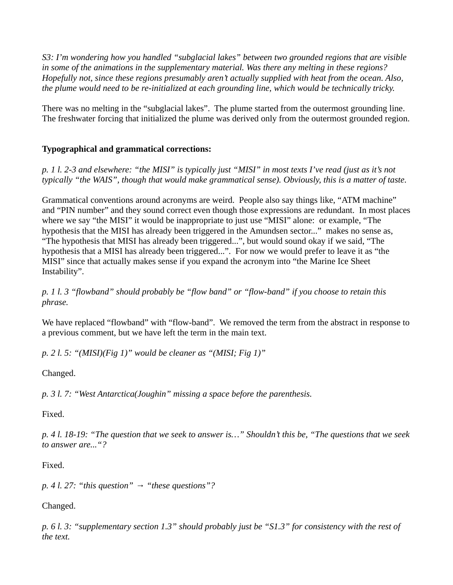*S3: I'm wondering how you handled "subglacial lakes" between two grounded regions that are visible in some of the animations in the supplementary material. Was there any melting in these regions? Hopefully not, since these regions presumably aren't actually supplied with heat from the ocean. Also, the plume would need to be re-initialized at each grounding line, which would be technically tricky.*

There was no melting in the "subglacial lakes". The plume started from the outermost grounding line. The freshwater forcing that initialized the plume was derived only from the outermost grounded region.

## **Typographical and grammatical corrections:**

*p. 1 l. 2-3 and elsewhere: "the MISI" is typically just "MISI" in most texts I've read (just as it's not typically "the WAIS", though that would make grammatical sense). Obviously, this is a matter of taste.*

Grammatical conventions around acronyms are weird. People also say things like, "ATM machine" and "PIN number" and they sound correct even though those expressions are redundant. In most places where we say "the MISI" it would be inappropriate to just use "MISI" alone: or example, "The hypothesis that the MISI has already been triggered in the Amundsen sector..." makes no sense as, "The hypothesis that MISI has already been triggered...", but would sound okay if we said, "The hypothesis that a MISI has already been triggered...". For now we would prefer to leave it as "the MISI" since that actually makes sense if you expand the acronym into "the Marine Ice Sheet Instability".

*p. 1 l. 3 "flowband" should probably be "flow band" or "flow-band" if you choose to retain this phrase.*

We have replaced "flowband" with "flow-band". We removed the term from the abstract in response to a previous comment, but we have left the term in the main text.

*p. 2 l. 5: "(MISI)(Fig 1)" would be cleaner as "(MISI; Fig 1)"*

Changed.

*p. 3 l. 7: "West Antarctica(Joughin" missing a space before the parenthesis.*

Fixed.

*p. 4 l. 18-19: "The question that we seek to answer is…" Shouldn't this be, "The questions that we seek to answer are..."?*

Fixed.

*p. 4 l. 27: "this question" → "these questions"?*

Changed.

*p. 6 l. 3: "supplementary section 1.3" should probably just be "S1.3" for consistency with the rest of the text.*